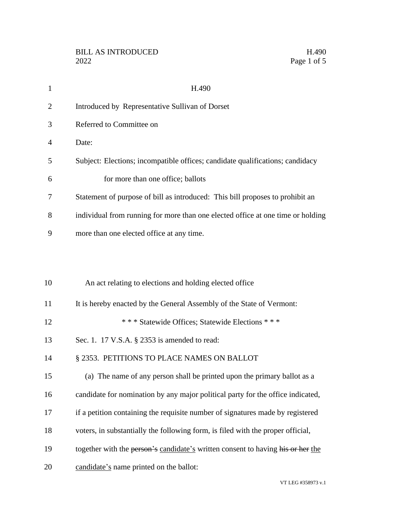| $\mathbf{1}$   | H.490                                                                           |
|----------------|---------------------------------------------------------------------------------|
| $\overline{2}$ | Introduced by Representative Sullivan of Dorset                                 |
| 3              | Referred to Committee on                                                        |
| $\overline{4}$ | Date:                                                                           |
| 5              | Subject: Elections; incompatible offices; candidate qualifications; candidacy   |
| 6              | for more than one office; ballots                                               |
| 7              | Statement of purpose of bill as introduced: This bill proposes to prohibit an   |
| 8              | individual from running for more than one elected office at one time or holding |
| 9              | more than one elected office at any time.                                       |
|                |                                                                                 |
|                |                                                                                 |
| 10             | An act relating to elections and holding elected office                         |
| 11             | It is hereby enacted by the General Assembly of the State of Vermont:           |
| 12             | *** Statewide Offices; Statewide Elections ***                                  |
| 13             | Sec. 1. 17 V.S.A. § 2353 is amended to read:                                    |
| 14             | § 2353. PETITIONS TO PLACE NAMES ON BALLOT                                      |
| 15             | (a) The name of any person shall be printed upon the primary ballot as a        |
| 16             | candidate for nomination by any major political party for the office indicated, |
| 17             | if a petition containing the requisite number of signatures made by registered  |
| 18             | voters, in substantially the following form, is filed with the proper official, |
| 19             | together with the person's candidate's written consent to having his or her the |
| 20             | candidate's name printed on the ballot:                                         |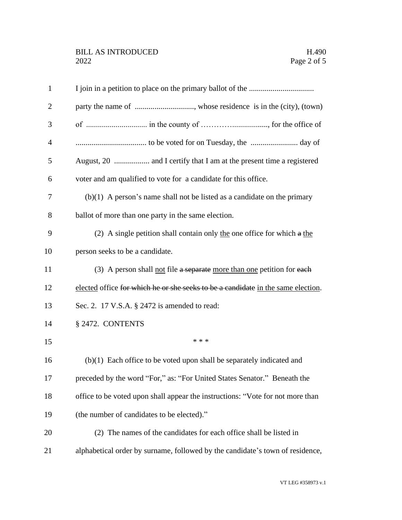| $\mathbf{1}$   |                                                                                  |
|----------------|----------------------------------------------------------------------------------|
| $\overline{2}$ |                                                                                  |
| 3              |                                                                                  |
| $\overline{4}$ |                                                                                  |
| 5              |                                                                                  |
| 6              | voter and am qualified to vote for a candidate for this office.                  |
| 7              | $(b)(1)$ A person's name shall not be listed as a candidate on the primary       |
| 8              | ballot of more than one party in the same election.                              |
| 9              | (2) A single petition shall contain only the one office for which $a$ the        |
| 10             | person seeks to be a candidate.                                                  |
| 11             | (3) A person shall <u>not</u> file a separate more than one petition for each    |
| 12             | elected office for which he or she seeks to be a candidate in the same election. |
| 13             | Sec. 2. 17 V.S.A. § 2472 is amended to read:                                     |
| 14             | § 2472. CONTENTS                                                                 |
| 15             | * * *                                                                            |
| 16             | $(b)(1)$ Each office to be voted upon shall be separately indicated and          |
| 17             | preceded by the word "For," as: "For United States Senator." Beneath the         |
| 18             | office to be voted upon shall appear the instructions: "Vote for not more than   |
| 19             | (the number of candidates to be elected)."                                       |
| 20             | (2) The names of the candidates for each office shall be listed in               |
| 21             | alphabetical order by surname, followed by the candidate's town of residence,    |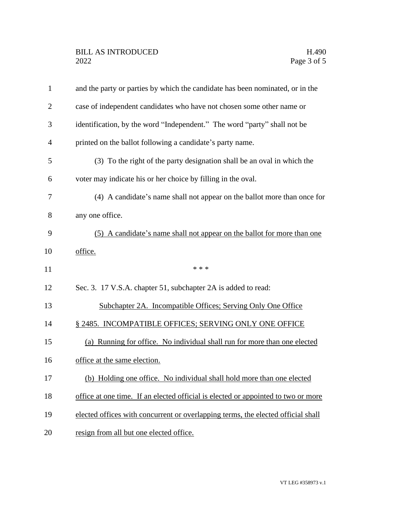| $\mathbf{1}$   | and the party or parties by which the candidate has been nominated, or in the     |
|----------------|-----------------------------------------------------------------------------------|
| $\overline{2}$ | case of independent candidates who have not chosen some other name or             |
| 3              | identification, by the word "Independent." The word "party" shall not be          |
| $\overline{4}$ | printed on the ballot following a candidate's party name.                         |
| 5              | (3) To the right of the party designation shall be an oval in which the           |
| 6              | voter may indicate his or her choice by filling in the oval.                      |
| 7              | (4) A candidate's name shall not appear on the ballot more than once for          |
| 8              | any one office.                                                                   |
| 9              | (5) A candidate's name shall not appear on the ballot for more than one           |
| 10             | office.                                                                           |
| 11             | * * *                                                                             |
| 12             | Sec. 3. 17 V.S.A. chapter 51, subchapter 2A is added to read:                     |
| 13             | Subchapter 2A. Incompatible Offices; Serving Only One Office                      |
|                |                                                                                   |
| 14             | § 2485. INCOMPATIBLE OFFICES; SERVING ONLY ONE OFFICE                             |
| 15             | (a) Running for office. No individual shall run for more than one elected         |
| 16             | office at the same election.                                                      |
| 17             | (b) Holding one office. No individual shall hold more than one elected            |
| 18             | office at one time. If an elected official is elected or appointed to two or more |
| 19             | elected offices with concurrent or overlapping terms, the elected official shall  |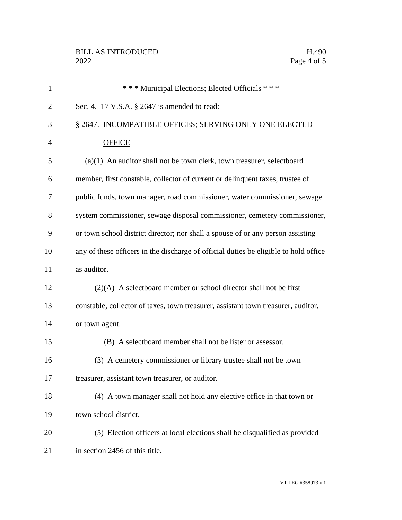| $\mathbf{1}$   | *** Municipal Elections; Elected Officials ***                                       |
|----------------|--------------------------------------------------------------------------------------|
| $\overline{2}$ | Sec. 4. 17 V.S.A. § 2647 is amended to read:                                         |
| 3              | § 2647. INCOMPATIBLE OFFICES; SERVING ONLY ONE ELECTED                               |
| $\overline{4}$ | <b>OFFICE</b>                                                                        |
| 5              | $(a)(1)$ An auditor shall not be town clerk, town treasurer, selectboard             |
| 6              | member, first constable, collector of current or delinquent taxes, trustee of        |
| 7              | public funds, town manager, road commissioner, water commissioner, sewage            |
| 8              | system commissioner, sewage disposal commissioner, cemetery commissioner,            |
| 9              | or town school district director; nor shall a spouse of or any person assisting      |
| 10             | any of these officers in the discharge of official duties be eligible to hold office |
| 11             | as auditor.                                                                          |
| 12             | $(2)(A)$ A selectboard member or school director shall not be first                  |
| 13             | constable, collector of taxes, town treasurer, assistant town treasurer, auditor,    |
| 14             | or town agent.                                                                       |
| 15             | (B) A selectboard member shall not be lister or assessor.                            |
| 16             | (3) A cemetery commissioner or library trustee shall not be town                     |
| 17             | treasurer, assistant town treasurer, or auditor.                                     |
| 18             | (4) A town manager shall not hold any elective office in that town or                |
| 19             | town school district.                                                                |
| 20             | (5) Election officers at local elections shall be disqualified as provided           |
| 21             | in section 2456 of this title.                                                       |